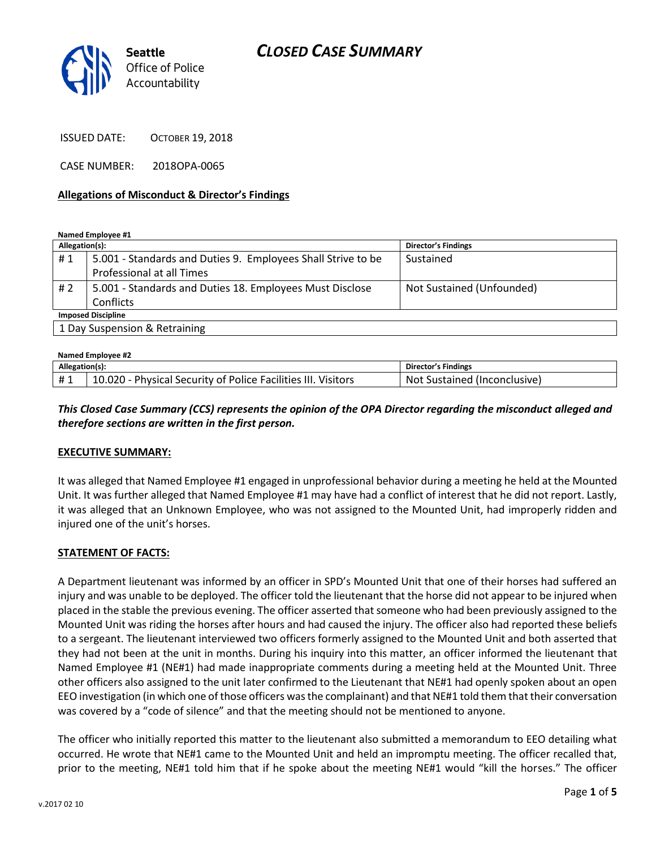# *CLOSED CASE SUMMARY*



ISSUED DATE: OCTOBER 19, 2018

CASE NUMBER: 2018OPA-0065

#### **Allegations of Misconduct & Director's Findings**

**Named Employee #1**

| Allegation(s):                |                                                              | <b>Director's Findings</b> |  |
|-------------------------------|--------------------------------------------------------------|----------------------------|--|
| #1                            | 5.001 - Standards and Duties 9. Employees Shall Strive to be | Sustained                  |  |
|                               | Professional at all Times                                    |                            |  |
| # 2                           | 5.001 - Standards and Duties 18. Employees Must Disclose     | Not Sustained (Unfounded)  |  |
|                               | Conflicts                                                    |                            |  |
| <b>Imposed Discipline</b>     |                                                              |                            |  |
| 1 Day Suspension & Retraining |                                                              |                            |  |

| Named Emplovee #2 |                                                               |                              |  |
|-------------------|---------------------------------------------------------------|------------------------------|--|
| Allegation(s):    |                                                               | Director's Findings          |  |
|                   | 10.020 - Physical Security of Police Facilities III. Visitors | Not Sustained (Inconclusive) |  |

## *This Closed Case Summary (CCS) represents the opinion of the OPA Director regarding the misconduct alleged and therefore sections are written in the first person.*

#### **EXECUTIVE SUMMARY:**

It was alleged that Named Employee #1 engaged in unprofessional behavior during a meeting he held at the Mounted Unit. It was further alleged that Named Employee #1 may have had a conflict of interest that he did not report. Lastly, it was alleged that an Unknown Employee, who was not assigned to the Mounted Unit, had improperly ridden and injured one of the unit's horses.

### **STATEMENT OF FACTS:**

A Department lieutenant was informed by an officer in SPD's Mounted Unit that one of their horses had suffered an injury and was unable to be deployed. The officer told the lieutenant that the horse did not appear to be injured when placed in the stable the previous evening. The officer asserted that someone who had been previously assigned to the Mounted Unit was riding the horses after hours and had caused the injury. The officer also had reported these beliefs to a sergeant. The lieutenant interviewed two officers formerly assigned to the Mounted Unit and both asserted that they had not been at the unit in months. During his inquiry into this matter, an officer informed the lieutenant that Named Employee #1 (NE#1) had made inappropriate comments during a meeting held at the Mounted Unit. Three other officers also assigned to the unit later confirmed to the Lieutenant that NE#1 had openly spoken about an open EEO investigation (in which one of those officers was the complainant) and that NE#1 told them that their conversation was covered by a "code of silence" and that the meeting should not be mentioned to anyone.

The officer who initially reported this matter to the lieutenant also submitted a memorandum to EEO detailing what occurred. He wrote that NE#1 came to the Mounted Unit and held an impromptu meeting. The officer recalled that, prior to the meeting, NE#1 told him that if he spoke about the meeting NE#1 would "kill the horses." The officer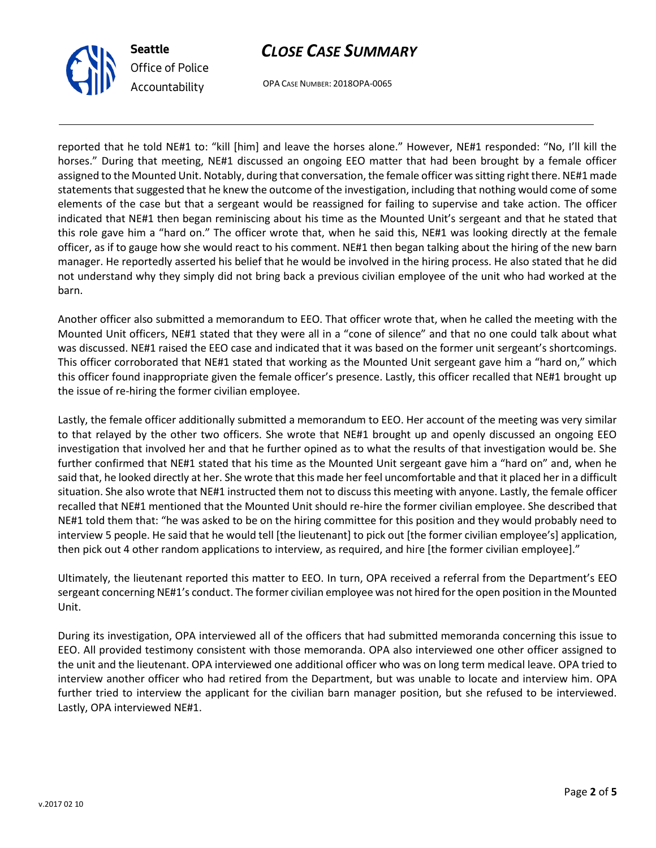



OPA CASE NUMBER: 2018OPA-0065

reported that he told NE#1 to: "kill [him] and leave the horses alone." However, NE#1 responded: "No, I'll kill the horses." During that meeting, NE#1 discussed an ongoing EEO matter that had been brought by a female officer assigned to the Mounted Unit. Notably, during that conversation, the female officer was sitting right there. NE#1 made statements that suggested that he knew the outcome of the investigation, including that nothing would come of some elements of the case but that a sergeant would be reassigned for failing to supervise and take action. The officer indicated that NE#1 then began reminiscing about his time as the Mounted Unit's sergeant and that he stated that this role gave him a "hard on." The officer wrote that, when he said this, NE#1 was looking directly at the female officer, as if to gauge how she would react to his comment. NE#1 then began talking about the hiring of the new barn manager. He reportedly asserted his belief that he would be involved in the hiring process. He also stated that he did not understand why they simply did not bring back a previous civilian employee of the unit who had worked at the barn.

Another officer also submitted a memorandum to EEO. That officer wrote that, when he called the meeting with the Mounted Unit officers, NE#1 stated that they were all in a "cone of silence" and that no one could talk about what was discussed. NE#1 raised the EEO case and indicated that it was based on the former unit sergeant's shortcomings. This officer corroborated that NE#1 stated that working as the Mounted Unit sergeant gave him a "hard on," which this officer found inappropriate given the female officer's presence. Lastly, this officer recalled that NE#1 brought up the issue of re-hiring the former civilian employee.

Lastly, the female officer additionally submitted a memorandum to EEO. Her account of the meeting was very similar to that relayed by the other two officers. She wrote that NE#1 brought up and openly discussed an ongoing EEO investigation that involved her and that he further opined as to what the results of that investigation would be. She further confirmed that NE#1 stated that his time as the Mounted Unit sergeant gave him a "hard on" and, when he said that, he looked directly at her. She wrote that this made her feel uncomfortable and that it placed her in a difficult situation. She also wrote that NE#1 instructed them not to discuss this meeting with anyone. Lastly, the female officer recalled that NE#1 mentioned that the Mounted Unit should re-hire the former civilian employee. She described that NE#1 told them that: "he was asked to be on the hiring committee for this position and they would probably need to interview 5 people. He said that he would tell [the lieutenant] to pick out [the former civilian employee's] application, then pick out 4 other random applications to interview, as required, and hire [the former civilian employee]."

Ultimately, the lieutenant reported this matter to EEO. In turn, OPA received a referral from the Department's EEO sergeant concerning NE#1's conduct. The former civilian employee was not hired for the open position in the Mounted Unit.

During its investigation, OPA interviewed all of the officers that had submitted memoranda concerning this issue to EEO. All provided testimony consistent with those memoranda. OPA also interviewed one other officer assigned to the unit and the lieutenant. OPA interviewed one additional officer who was on long term medical leave. OPA tried to interview another officer who had retired from the Department, but was unable to locate and interview him. OPA further tried to interview the applicant for the civilian barn manager position, but she refused to be interviewed. Lastly, OPA interviewed NE#1.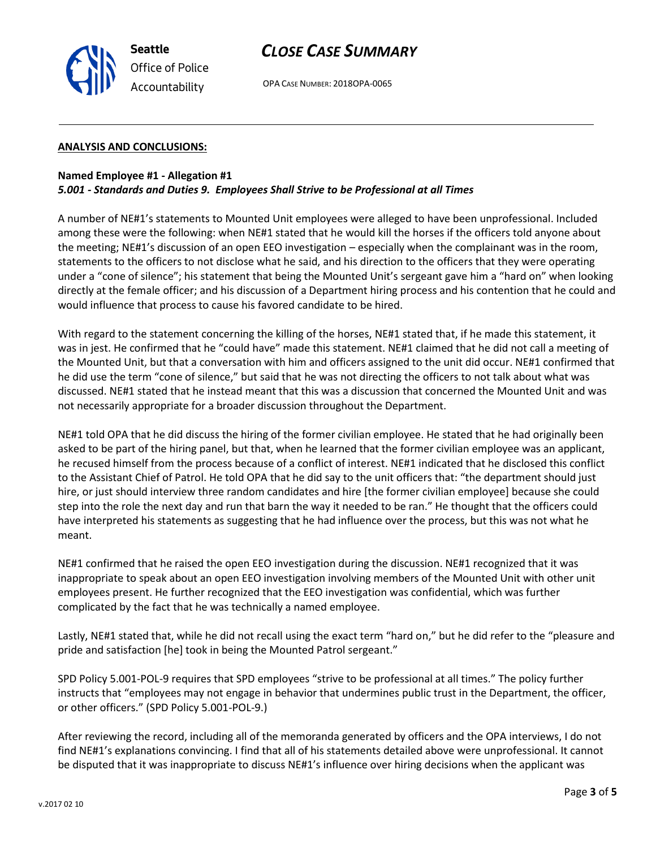

# *CLOSE CASE SUMMARY*

OPA CASE NUMBER: 2018OPA-0065

#### **ANALYSIS AND CONCLUSIONS:**

## **Named Employee #1 - Allegation #1** *5.001 - Standards and Duties 9. Employees Shall Strive to be Professional at all Times*

A number of NE#1's statements to Mounted Unit employees were alleged to have been unprofessional. Included among these were the following: when NE#1 stated that he would kill the horses if the officers told anyone about the meeting; NE#1's discussion of an open EEO investigation – especially when the complainant was in the room, statements to the officers to not disclose what he said, and his direction to the officers that they were operating under a "cone of silence"; his statement that being the Mounted Unit's sergeant gave him a "hard on" when looking directly at the female officer; and his discussion of a Department hiring process and his contention that he could and would influence that process to cause his favored candidate to be hired.

With regard to the statement concerning the killing of the horses, NE#1 stated that, if he made this statement, it was in jest. He confirmed that he "could have" made this statement. NE#1 claimed that he did not call a meeting of the Mounted Unit, but that a conversation with him and officers assigned to the unit did occur. NE#1 confirmed that he did use the term "cone of silence," but said that he was not directing the officers to not talk about what was discussed. NE#1 stated that he instead meant that this was a discussion that concerned the Mounted Unit and was not necessarily appropriate for a broader discussion throughout the Department.

NE#1 told OPA that he did discuss the hiring of the former civilian employee. He stated that he had originally been asked to be part of the hiring panel, but that, when he learned that the former civilian employee was an applicant, he recused himself from the process because of a conflict of interest. NE#1 indicated that he disclosed this conflict to the Assistant Chief of Patrol. He told OPA that he did say to the unit officers that: "the department should just hire, or just should interview three random candidates and hire [the former civilian employee] because she could step into the role the next day and run that barn the way it needed to be ran." He thought that the officers could have interpreted his statements as suggesting that he had influence over the process, but this was not what he meant.

NE#1 confirmed that he raised the open EEO investigation during the discussion. NE#1 recognized that it was inappropriate to speak about an open EEO investigation involving members of the Mounted Unit with other unit employees present. He further recognized that the EEO investigation was confidential, which was further complicated by the fact that he was technically a named employee.

Lastly, NE#1 stated that, while he did not recall using the exact term "hard on," but he did refer to the "pleasure and pride and satisfaction [he] took in being the Mounted Patrol sergeant."

SPD Policy 5.001-POL-9 requires that SPD employees "strive to be professional at all times." The policy further instructs that "employees may not engage in behavior that undermines public trust in the Department, the officer, or other officers." (SPD Policy 5.001-POL-9.)

After reviewing the record, including all of the memoranda generated by officers and the OPA interviews, I do not find NE#1's explanations convincing. I find that all of his statements detailed above were unprofessional. It cannot be disputed that it was inappropriate to discuss NE#1's influence over hiring decisions when the applicant was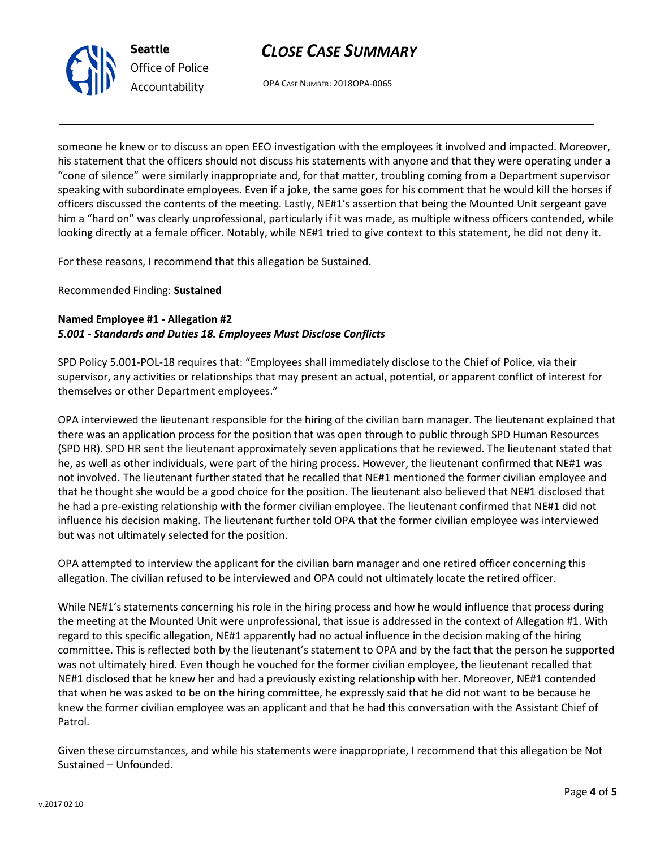



OPA CASE NUMBER: 2018OPA-0065

someone he knew or to discuss an open EEO investigation with the employees it involved and impacted. Moreover, his statement that the officers should not discuss his statements with anyone and that they were operating under a "cone of silence" were similarly inappropriate and, for that matter, troubling coming from a Department supervisor speaking with subordinate employees. Even if a joke, the same goes for his comment that he would kill the horses if officers discussed the contents of the meeting. Lastly, NE#1's assertion that being the Mounted Unit sergeant gave him a "hard on" was clearly unprofessional, particularly if it was made, as multiple witness officers contended, while looking directly at a female officer. Notably, while NE#1 tried to give context to this statement, he did not deny it.

For these reasons, I recommend that this allegation be Sustained.

Recommended Finding: **Sustained**

# **Named Employee #1 - Allegation #2** *5.001 - Standards and Duties 18. Employees Must Disclose Conflicts*

SPD Policy 5.001-POL-18 requires that: "Employees shall immediately disclose to the Chief of Police, via their supervisor, any activities or relationships that may present an actual, potential, or apparent conflict of interest for themselves or other Department employees."

OPA interviewed the lieutenant responsible for the hiring of the civilian barn manager. The lieutenant explained that there was an application process for the position that was open through to public through SPD Human Resources (SPD HR). SPD HR sent the lieutenant approximately seven applications that he reviewed. The lieutenant stated that he, as well as other individuals, were part of the hiring process. However, the lieutenant confirmed that NE#1 was not involved. The lieutenant further stated that he recalled that NE#1 mentioned the former civilian employee and that he thought she would be a good choice for the position. The lieutenant also believed that NE#1 disclosed that he had a pre-existing relationship with the former civilian employee. The lieutenant confirmed that NE#1 did not influence his decision making. The lieutenant further told OPA that the former civilian employee was interviewed but was not ultimately selected for the position.

OPA attempted to interview the applicant for the civilian barn manager and one retired officer concerning this allegation. The civilian refused to be interviewed and OPA could not ultimately locate the retired officer.

While NE#1's statements concerning his role in the hiring process and how he would influence that process during the meeting at the Mounted Unit were unprofessional, that issue is addressed in the context of Allegation #1. With regard to this specific allegation, NE#1 apparently had no actual influence in the decision making of the hiring committee. This is reflected both by the lieutenant's statement to OPA and by the fact that the person he supported was not ultimately hired. Even though he vouched for the former civilian employee, the lieutenant recalled that NE#1 disclosed that he knew her and had a previously existing relationship with her. Moreover, NE#1 contended that when he was asked to be on the hiring committee, he expressly said that he did not want to be because he knew the former civilian employee was an applicant and that he had this conversation with the Assistant Chief of Patrol.

Given these circumstances, and while his statements were inappropriate, I recommend that this allegation be Not Sustained – Unfounded.